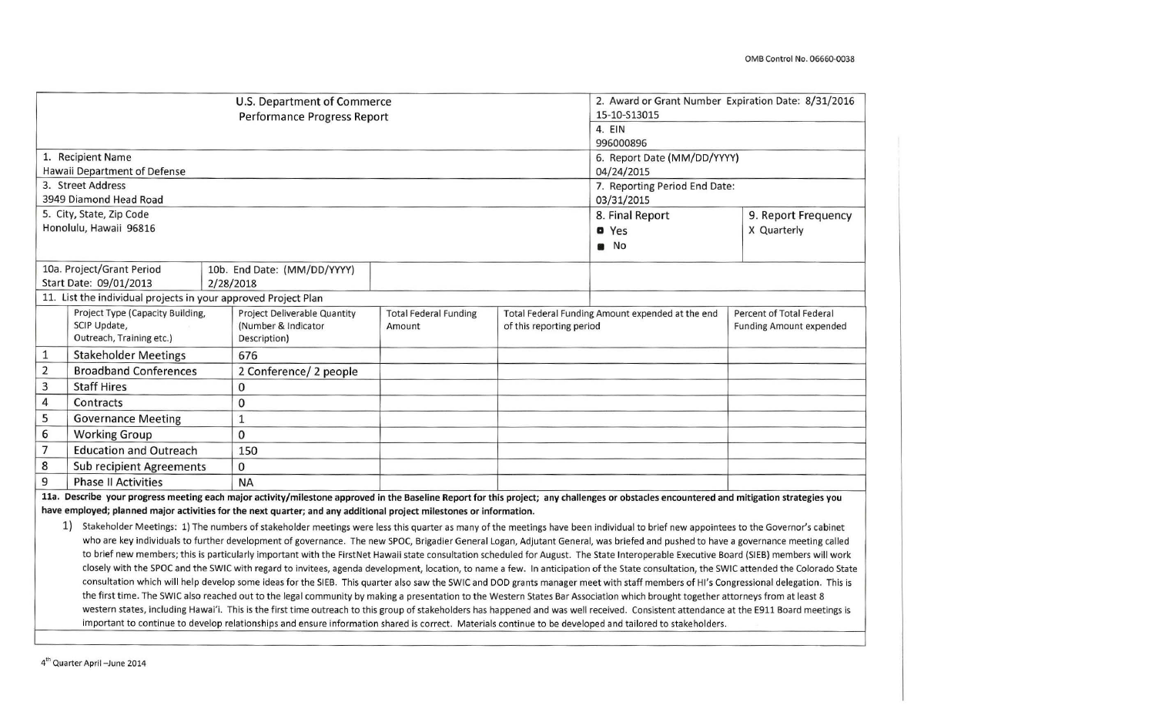|                                                                                                                                                                                           |                                                                                                                                                                                          |  | U.S. Department of Commerce                                                                                         |                              |                                                  | 2. Award or Grant Number Expiration Date: 8/31/2016 |                                |  |
|-------------------------------------------------------------------------------------------------------------------------------------------------------------------------------------------|------------------------------------------------------------------------------------------------------------------------------------------------------------------------------------------|--|---------------------------------------------------------------------------------------------------------------------|------------------------------|--------------------------------------------------|-----------------------------------------------------|--------------------------------|--|
|                                                                                                                                                                                           |                                                                                                                                                                                          |  | 15-10-S13015                                                                                                        |                              |                                                  |                                                     |                                |  |
|                                                                                                                                                                                           |                                                                                                                                                                                          |  | 4. EIN                                                                                                              |                              |                                                  |                                                     |                                |  |
|                                                                                                                                                                                           |                                                                                                                                                                                          |  | 996000896                                                                                                           |                              |                                                  |                                                     |                                |  |
|                                                                                                                                                                                           | 1. Recipient Name                                                                                                                                                                        |  |                                                                                                                     |                              |                                                  | 6. Report Date (MM/DD/YYYY)                         |                                |  |
|                                                                                                                                                                                           | Hawaii Department of Defense                                                                                                                                                             |  |                                                                                                                     |                              |                                                  | 04/24/2015                                          |                                |  |
|                                                                                                                                                                                           | 3. Street Address                                                                                                                                                                        |  |                                                                                                                     |                              |                                                  | 7. Reporting Period End Date:                       |                                |  |
|                                                                                                                                                                                           | 3949 Diamond Head Road                                                                                                                                                                   |  |                                                                                                                     |                              |                                                  | 03/31/2015                                          |                                |  |
|                                                                                                                                                                                           | 5. City, State, Zip Code                                                                                                                                                                 |  |                                                                                                                     |                              |                                                  | 8. Final Report                                     | 9. Report Frequency            |  |
|                                                                                                                                                                                           | Honolulu, Hawaii 96816                                                                                                                                                                   |  |                                                                                                                     |                              |                                                  | <b>a</b> Yes                                        | X Quarterly                    |  |
|                                                                                                                                                                                           |                                                                                                                                                                                          |  |                                                                                                                     |                              |                                                  | No<br>63                                            |                                |  |
|                                                                                                                                                                                           | 10a. Project/Grant Period                                                                                                                                                                |  | 10b. End Date: (MM/DD/YYYY)                                                                                         |                              |                                                  |                                                     |                                |  |
|                                                                                                                                                                                           | Start Date: 09/01/2013                                                                                                                                                                   |  | 2/28/2018                                                                                                           |                              |                                                  |                                                     |                                |  |
|                                                                                                                                                                                           | 11. List the individual projects in your approved Project Plan                                                                                                                           |  |                                                                                                                     |                              |                                                  |                                                     |                                |  |
|                                                                                                                                                                                           | Project Type (Capacity Building,                                                                                                                                                         |  | Project Deliverable Quantity                                                                                        | <b>Total Federal Funding</b> | Total Federal Funding Amount expended at the end |                                                     | Percent of Total Federal       |  |
|                                                                                                                                                                                           | SCIP Update,                                                                                                                                                                             |  | (Number & Indicator                                                                                                 | Amount                       | of this reporting period                         |                                                     | <b>Funding Amount expended</b> |  |
|                                                                                                                                                                                           | Outreach, Training etc.)                                                                                                                                                                 |  | Description)                                                                                                        |                              |                                                  |                                                     |                                |  |
| $\mathbf 1$                                                                                                                                                                               | <b>Stakeholder Meetings</b>                                                                                                                                                              |  | 676                                                                                                                 |                              |                                                  |                                                     |                                |  |
| $\mathbf 2$                                                                                                                                                                               | <b>Broadband Conferences</b>                                                                                                                                                             |  | 2 Conference/ 2 people                                                                                              |                              |                                                  |                                                     |                                |  |
| $\mathbf{3}$                                                                                                                                                                              | <b>Staff Hires</b>                                                                                                                                                                       |  | 0                                                                                                                   |                              |                                                  |                                                     |                                |  |
| $\overline{4}$                                                                                                                                                                            | Contracts                                                                                                                                                                                |  | 0                                                                                                                   |                              |                                                  |                                                     |                                |  |
| 5                                                                                                                                                                                         | <b>Governance Meeting</b>                                                                                                                                                                |  | $1\,$                                                                                                               |                              |                                                  |                                                     |                                |  |
| 6                                                                                                                                                                                         | <b>Working Group</b>                                                                                                                                                                     |  | 0                                                                                                                   |                              |                                                  |                                                     |                                |  |
| $\overline{7}$                                                                                                                                                                            | <b>Education and Outreach</b>                                                                                                                                                            |  | 150                                                                                                                 |                              |                                                  |                                                     |                                |  |
| 8                                                                                                                                                                                         | <b>Sub recipient Agreements</b>                                                                                                                                                          |  | 0                                                                                                                   |                              |                                                  |                                                     |                                |  |
| 9                                                                                                                                                                                         | <b>Phase II Activities</b>                                                                                                                                                               |  | <b>NA</b>                                                                                                           |                              |                                                  |                                                     |                                |  |
| 11a. Describe your progress meeting each major activity/milestone approved in the Baseline Report for this project; any challenges or obstacles encountered and mitigation strategies you |                                                                                                                                                                                          |  |                                                                                                                     |                              |                                                  |                                                     |                                |  |
|                                                                                                                                                                                           |                                                                                                                                                                                          |  | have employed; planned major activities for the next quarter; and any additional project milestones or information. |                              |                                                  |                                                     |                                |  |
|                                                                                                                                                                                           | 1)<br>Stakeholder Meetings: 1) The numbers of stakeholder meetings were less this quarter as many of the meetings have been individual to brief new appointees to the Governor's cabinet |  |                                                                                                                     |                              |                                                  |                                                     |                                |  |
|                                                                                                                                                                                           | who are key individuals to further development of governance. The new SPOC, Brigadier General Logan, Adjutant General, was briefed and pushed to have a governance meeting called        |  |                                                                                                                     |                              |                                                  |                                                     |                                |  |
|                                                                                                                                                                                           | to brief new members; this is particularly important with the FirstNet Hawaii state consultation scheduled for August. The State Interoperable Executive Board (SIEB) members will work  |  |                                                                                                                     |                              |                                                  |                                                     |                                |  |
|                                                                                                                                                                                           | closely with the SPOC and the SWIC with regard to invitees, agenda development, location, to name a few. In anticipation of the State consultation, the SWIC attended the Colorado State |  |                                                                                                                     |                              |                                                  |                                                     |                                |  |
|                                                                                                                                                                                           | consultation which will help develop some ideas for the SIEB. This quarter also saw the SWIC and DOD grants manager meet with staff members of HI's Congressional delegation. This is    |  |                                                                                                                     |                              |                                                  |                                                     |                                |  |
|                                                                                                                                                                                           | the first time. The SWIC also reached out to the legal community by making a presentation to the Western States Bar Association which brought together attorneys from at least 8         |  |                                                                                                                     |                              |                                                  |                                                     |                                |  |

western states, including Hawai'i. This is the first time outreach to this group of stakeholders has happened and was well received. Consistent attendance at the E911 Board meetings is important to continue to develop relationships and ensure information shared is correct. Materials continue to be developed and tailored to stakeholders.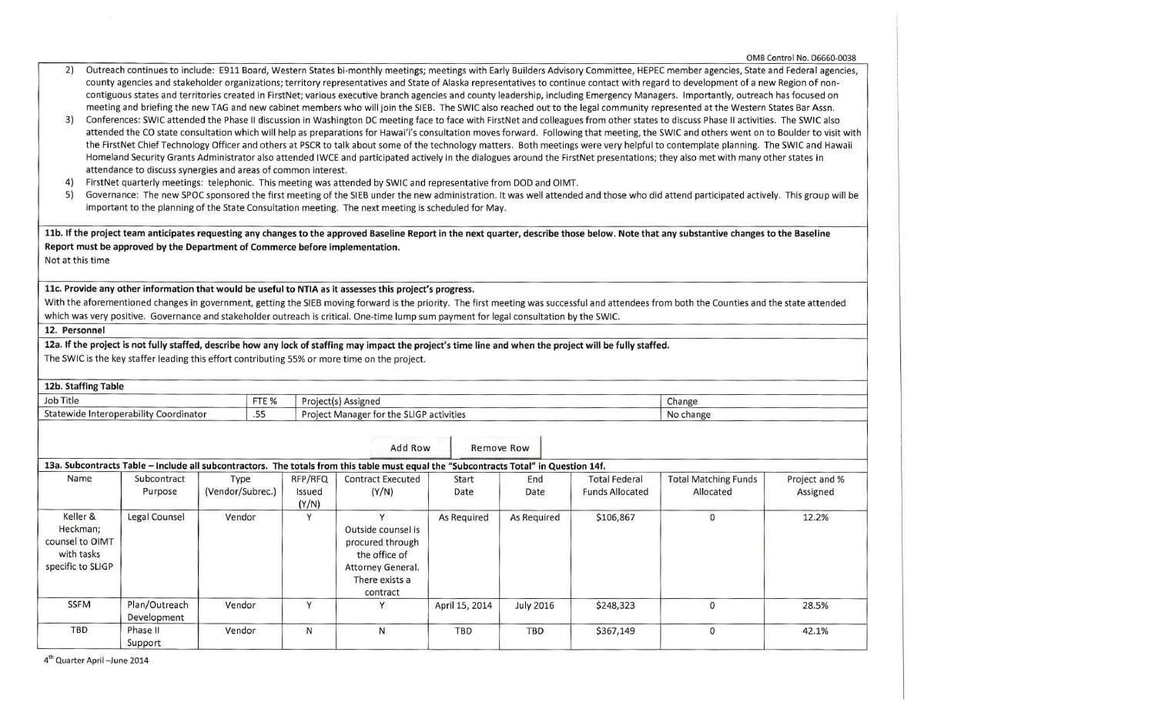|                                                                                                                                                                                                                                                                                                                                                                                                                                                                                                                                                                                                                                                                                                                                                                                                                                                                                                                                                                                                                                                                                                                                                                                                                                                                                                                                                                                                                                                                                                                                                                                                                                                                                                                                                                                                                                                                                                                                                                                                                                |                                                                                                                                                            |                                                                              |        |                                                                                                                                         |                |                  |                        |                                                                                                                                                                                              | OMB Control No. 06660-0038 |
|--------------------------------------------------------------------------------------------------------------------------------------------------------------------------------------------------------------------------------------------------------------------------------------------------------------------------------------------------------------------------------------------------------------------------------------------------------------------------------------------------------------------------------------------------------------------------------------------------------------------------------------------------------------------------------------------------------------------------------------------------------------------------------------------------------------------------------------------------------------------------------------------------------------------------------------------------------------------------------------------------------------------------------------------------------------------------------------------------------------------------------------------------------------------------------------------------------------------------------------------------------------------------------------------------------------------------------------------------------------------------------------------------------------------------------------------------------------------------------------------------------------------------------------------------------------------------------------------------------------------------------------------------------------------------------------------------------------------------------------------------------------------------------------------------------------------------------------------------------------------------------------------------------------------------------------------------------------------------------------------------------------------------------|------------------------------------------------------------------------------------------------------------------------------------------------------------|------------------------------------------------------------------------------|--------|-----------------------------------------------------------------------------------------------------------------------------------------|----------------|------------------|------------------------|----------------------------------------------------------------------------------------------------------------------------------------------------------------------------------------------|----------------------------|
| Outreach continues to include: E911 Board, Western States bi-monthly meetings; meetings with Early Builders Advisory Committee, HEPEC member agencies, State and Federal agencies,<br>2)<br>county agencies and stakeholder organizations; territory representatives and State of Alaska representatives to continue contact with regard to development of a new Region of non-<br>contiguous states and territories created in FirstNet; various executive branch agencies and county leadership, including Emergency Managers. Importantly, outreach has focused on<br>meeting and briefing the new TAG and new cabinet members who will join the SIEB. The SWIC also reached out to the legal community represented at the Western States Bar Assn.<br>3)<br>Conferences: SWIC attended the Phase II discussion in Washington DC meeting face to face with FirstNet and colleagues from other states to discuss Phase II activities. The SWIC also<br>attended the CO state consultation which will help as preparations for Hawai'i's consultation moves forward. Following that meeting, the SWIC and others went on to Boulder to visit with<br>the FirstNet Chief Technology Officer and others at PSCR to talk about some of the technology matters. Both meetings were very helpful to contemplate planning. The SWIC and Hawaii<br>Homeland Security Grants Administrator also attended IWCE and participated actively in the dialogues around the FirstNet presentations; they also met with many other states in<br>attendance to discuss synergies and areas of common interest.<br>4)<br>FirstNet quarterly meetings: telephonic. This meeting was attended by SWIC and representative from DOD and OIMT.<br>5)<br>Governance: The new SPOC sponsored the first meeting of the SIEB under the new administration. It was well attended and those who did attend participated actively. This group will be<br>important to the planning of the State Consultation meeting. The next meeting is scheduled for May. |                                                                                                                                                            |                                                                              |        |                                                                                                                                         |                |                  |                        |                                                                                                                                                                                              |                            |
|                                                                                                                                                                                                                                                                                                                                                                                                                                                                                                                                                                                                                                                                                                                                                                                                                                                                                                                                                                                                                                                                                                                                                                                                                                                                                                                                                                                                                                                                                                                                                                                                                                                                                                                                                                                                                                                                                                                                                                                                                                |                                                                                                                                                            |                                                                              |        |                                                                                                                                         |                |                  |                        | 11b. If the project team anticipates requesting any changes to the approved Baseline Report in the next quarter, describe those below. Note that any substantive changes to the Baseline     |                            |
|                                                                                                                                                                                                                                                                                                                                                                                                                                                                                                                                                                                                                                                                                                                                                                                                                                                                                                                                                                                                                                                                                                                                                                                                                                                                                                                                                                                                                                                                                                                                                                                                                                                                                                                                                                                                                                                                                                                                                                                                                                |                                                                                                                                                            | Report must be approved by the Department of Commerce before implementation. |        |                                                                                                                                         |                |                  |                        |                                                                                                                                                                                              |                            |
|                                                                                                                                                                                                                                                                                                                                                                                                                                                                                                                                                                                                                                                                                                                                                                                                                                                                                                                                                                                                                                                                                                                                                                                                                                                                                                                                                                                                                                                                                                                                                                                                                                                                                                                                                                                                                                                                                                                                                                                                                                |                                                                                                                                                            |                                                                              |        |                                                                                                                                         |                |                  |                        |                                                                                                                                                                                              |                            |
| Not at this time                                                                                                                                                                                                                                                                                                                                                                                                                                                                                                                                                                                                                                                                                                                                                                                                                                                                                                                                                                                                                                                                                                                                                                                                                                                                                                                                                                                                                                                                                                                                                                                                                                                                                                                                                                                                                                                                                                                                                                                                               |                                                                                                                                                            |                                                                              |        |                                                                                                                                         |                |                  |                        |                                                                                                                                                                                              |                            |
|                                                                                                                                                                                                                                                                                                                                                                                                                                                                                                                                                                                                                                                                                                                                                                                                                                                                                                                                                                                                                                                                                                                                                                                                                                                                                                                                                                                                                                                                                                                                                                                                                                                                                                                                                                                                                                                                                                                                                                                                                                |                                                                                                                                                            |                                                                              |        |                                                                                                                                         |                |                  |                        |                                                                                                                                                                                              |                            |
|                                                                                                                                                                                                                                                                                                                                                                                                                                                                                                                                                                                                                                                                                                                                                                                                                                                                                                                                                                                                                                                                                                                                                                                                                                                                                                                                                                                                                                                                                                                                                                                                                                                                                                                                                                                                                                                                                                                                                                                                                                |                                                                                                                                                            |                                                                              |        | 11c. Provide any other information that would be useful to NTIA as it assesses this project's progress.                                 |                |                  |                        |                                                                                                                                                                                              |                            |
|                                                                                                                                                                                                                                                                                                                                                                                                                                                                                                                                                                                                                                                                                                                                                                                                                                                                                                                                                                                                                                                                                                                                                                                                                                                                                                                                                                                                                                                                                                                                                                                                                                                                                                                                                                                                                                                                                                                                                                                                                                |                                                                                                                                                            |                                                                              |        |                                                                                                                                         |                |                  |                        | With the aforementioned changes in government, getting the SIEB moving forward is the priority. The first meeting was successful and attendees from both the Counties and the state attended |                            |
|                                                                                                                                                                                                                                                                                                                                                                                                                                                                                                                                                                                                                                                                                                                                                                                                                                                                                                                                                                                                                                                                                                                                                                                                                                                                                                                                                                                                                                                                                                                                                                                                                                                                                                                                                                                                                                                                                                                                                                                                                                |                                                                                                                                                            |                                                                              |        | which was very positive. Governance and stakeholder outreach is critical. One-time lump sum payment for legal consultation by the SWIC. |                |                  |                        |                                                                                                                                                                                              |                            |
| 12. Personnel                                                                                                                                                                                                                                                                                                                                                                                                                                                                                                                                                                                                                                                                                                                                                                                                                                                                                                                                                                                                                                                                                                                                                                                                                                                                                                                                                                                                                                                                                                                                                                                                                                                                                                                                                                                                                                                                                                                                                                                                                  |                                                                                                                                                            |                                                                              |        |                                                                                                                                         |                |                  |                        |                                                                                                                                                                                              |                            |
|                                                                                                                                                                                                                                                                                                                                                                                                                                                                                                                                                                                                                                                                                                                                                                                                                                                                                                                                                                                                                                                                                                                                                                                                                                                                                                                                                                                                                                                                                                                                                                                                                                                                                                                                                                                                                                                                                                                                                                                                                                | 12a. If the project is not fully staffed, describe how any lock of staffing may impact the project's time line and when the project will be fully staffed. |                                                                              |        |                                                                                                                                         |                |                  |                        |                                                                                                                                                                                              |                            |
|                                                                                                                                                                                                                                                                                                                                                                                                                                                                                                                                                                                                                                                                                                                                                                                                                                                                                                                                                                                                                                                                                                                                                                                                                                                                                                                                                                                                                                                                                                                                                                                                                                                                                                                                                                                                                                                                                                                                                                                                                                |                                                                                                                                                            |                                                                              |        | The SWIC is the key staffer leading this effort contributing 55% or more time on the project.                                           |                |                  |                        |                                                                                                                                                                                              |                            |
|                                                                                                                                                                                                                                                                                                                                                                                                                                                                                                                                                                                                                                                                                                                                                                                                                                                                                                                                                                                                                                                                                                                                                                                                                                                                                                                                                                                                                                                                                                                                                                                                                                                                                                                                                                                                                                                                                                                                                                                                                                |                                                                                                                                                            |                                                                              |        |                                                                                                                                         |                |                  |                        |                                                                                                                                                                                              |                            |
| 12b. Staffing Table                                                                                                                                                                                                                                                                                                                                                                                                                                                                                                                                                                                                                                                                                                                                                                                                                                                                                                                                                                                                                                                                                                                                                                                                                                                                                                                                                                                                                                                                                                                                                                                                                                                                                                                                                                                                                                                                                                                                                                                                            |                                                                                                                                                            |                                                                              |        |                                                                                                                                         |                |                  |                        |                                                                                                                                                                                              |                            |
| Job Title                                                                                                                                                                                                                                                                                                                                                                                                                                                                                                                                                                                                                                                                                                                                                                                                                                                                                                                                                                                                                                                                                                                                                                                                                                                                                                                                                                                                                                                                                                                                                                                                                                                                                                                                                                                                                                                                                                                                                                                                                      |                                                                                                                                                            | FTE %                                                                        |        | Project(s) Assigned                                                                                                                     |                |                  |                        | Change                                                                                                                                                                                       |                            |
|                                                                                                                                                                                                                                                                                                                                                                                                                                                                                                                                                                                                                                                                                                                                                                                                                                                                                                                                                                                                                                                                                                                                                                                                                                                                                                                                                                                                                                                                                                                                                                                                                                                                                                                                                                                                                                                                                                                                                                                                                                | Statewide Interoperability Coordinator                                                                                                                     | .55                                                                          |        |                                                                                                                                         |                | No change        |                        |                                                                                                                                                                                              |                            |
|                                                                                                                                                                                                                                                                                                                                                                                                                                                                                                                                                                                                                                                                                                                                                                                                                                                                                                                                                                                                                                                                                                                                                                                                                                                                                                                                                                                                                                                                                                                                                                                                                                                                                                                                                                                                                                                                                                                                                                                                                                |                                                                                                                                                            |                                                                              |        | Project Manager for the SLIGP activities                                                                                                |                |                  |                        |                                                                                                                                                                                              |                            |
|                                                                                                                                                                                                                                                                                                                                                                                                                                                                                                                                                                                                                                                                                                                                                                                                                                                                                                                                                                                                                                                                                                                                                                                                                                                                                                                                                                                                                                                                                                                                                                                                                                                                                                                                                                                                                                                                                                                                                                                                                                |                                                                                                                                                            |                                                                              |        |                                                                                                                                         |                |                  |                        |                                                                                                                                                                                              |                            |
|                                                                                                                                                                                                                                                                                                                                                                                                                                                                                                                                                                                                                                                                                                                                                                                                                                                                                                                                                                                                                                                                                                                                                                                                                                                                                                                                                                                                                                                                                                                                                                                                                                                                                                                                                                                                                                                                                                                                                                                                                                |                                                                                                                                                            |                                                                              |        | Add Row                                                                                                                                 |                | Remove Row       |                        |                                                                                                                                                                                              |                            |
|                                                                                                                                                                                                                                                                                                                                                                                                                                                                                                                                                                                                                                                                                                                                                                                                                                                                                                                                                                                                                                                                                                                                                                                                                                                                                                                                                                                                                                                                                                                                                                                                                                                                                                                                                                                                                                                                                                                                                                                                                                |                                                                                                                                                            |                                                                              |        |                                                                                                                                         |                |                  |                        |                                                                                                                                                                                              |                            |
| 13a. Subcontracts Table - Include all subcontractors. The totals from this table must equal the "Subcontracts Total" in Question 14f.<br>Name<br>Subcontract<br>RFP/RFQ<br><b>Contract Executed</b><br><b>Total Federal</b><br><b>Total Matching Funds</b><br>Type<br>End<br>Start                                                                                                                                                                                                                                                                                                                                                                                                                                                                                                                                                                                                                                                                                                                                                                                                                                                                                                                                                                                                                                                                                                                                                                                                                                                                                                                                                                                                                                                                                                                                                                                                                                                                                                                                             |                                                                                                                                                            |                                                                              |        |                                                                                                                                         |                |                  |                        | Project and %                                                                                                                                                                                |                            |
|                                                                                                                                                                                                                                                                                                                                                                                                                                                                                                                                                                                                                                                                                                                                                                                                                                                                                                                                                                                                                                                                                                                                                                                                                                                                                                                                                                                                                                                                                                                                                                                                                                                                                                                                                                                                                                                                                                                                                                                                                                | Purpose                                                                                                                                                    | (Vendor/Subrec.)                                                             | Issued | (Y/N)                                                                                                                                   | Date           | Date             | <b>Funds Allocated</b> | Allocated                                                                                                                                                                                    | Assigned                   |
|                                                                                                                                                                                                                                                                                                                                                                                                                                                                                                                                                                                                                                                                                                                                                                                                                                                                                                                                                                                                                                                                                                                                                                                                                                                                                                                                                                                                                                                                                                                                                                                                                                                                                                                                                                                                                                                                                                                                                                                                                                |                                                                                                                                                            |                                                                              | (Y/N)  |                                                                                                                                         |                |                  |                        |                                                                                                                                                                                              |                            |
| Keller &                                                                                                                                                                                                                                                                                                                                                                                                                                                                                                                                                                                                                                                                                                                                                                                                                                                                                                                                                                                                                                                                                                                                                                                                                                                                                                                                                                                                                                                                                                                                                                                                                                                                                                                                                                                                                                                                                                                                                                                                                       | Legal Counsel                                                                                                                                              | Vendor                                                                       | Y      | Y                                                                                                                                       | As Required    | As Required      | \$106,867              | $\mathbf{0}$                                                                                                                                                                                 | 12.2%                      |
| Heckman;                                                                                                                                                                                                                                                                                                                                                                                                                                                                                                                                                                                                                                                                                                                                                                                                                                                                                                                                                                                                                                                                                                                                                                                                                                                                                                                                                                                                                                                                                                                                                                                                                                                                                                                                                                                                                                                                                                                                                                                                                       |                                                                                                                                                            |                                                                              |        | Outside counsel is                                                                                                                      |                |                  |                        |                                                                                                                                                                                              |                            |
| counsel to OIMT                                                                                                                                                                                                                                                                                                                                                                                                                                                                                                                                                                                                                                                                                                                                                                                                                                                                                                                                                                                                                                                                                                                                                                                                                                                                                                                                                                                                                                                                                                                                                                                                                                                                                                                                                                                                                                                                                                                                                                                                                |                                                                                                                                                            |                                                                              |        | procured through                                                                                                                        |                |                  |                        |                                                                                                                                                                                              |                            |
| with tasks                                                                                                                                                                                                                                                                                                                                                                                                                                                                                                                                                                                                                                                                                                                                                                                                                                                                                                                                                                                                                                                                                                                                                                                                                                                                                                                                                                                                                                                                                                                                                                                                                                                                                                                                                                                                                                                                                                                                                                                                                     |                                                                                                                                                            |                                                                              |        | the office of                                                                                                                           |                |                  |                        |                                                                                                                                                                                              |                            |
| specific to SLIGP                                                                                                                                                                                                                                                                                                                                                                                                                                                                                                                                                                                                                                                                                                                                                                                                                                                                                                                                                                                                                                                                                                                                                                                                                                                                                                                                                                                                                                                                                                                                                                                                                                                                                                                                                                                                                                                                                                                                                                                                              |                                                                                                                                                            |                                                                              |        | Attorney General.                                                                                                                       |                |                  |                        |                                                                                                                                                                                              |                            |
|                                                                                                                                                                                                                                                                                                                                                                                                                                                                                                                                                                                                                                                                                                                                                                                                                                                                                                                                                                                                                                                                                                                                                                                                                                                                                                                                                                                                                                                                                                                                                                                                                                                                                                                                                                                                                                                                                                                                                                                                                                |                                                                                                                                                            |                                                                              |        | There exists a                                                                                                                          |                |                  |                        |                                                                                                                                                                                              |                            |
|                                                                                                                                                                                                                                                                                                                                                                                                                                                                                                                                                                                                                                                                                                                                                                                                                                                                                                                                                                                                                                                                                                                                                                                                                                                                                                                                                                                                                                                                                                                                                                                                                                                                                                                                                                                                                                                                                                                                                                                                                                |                                                                                                                                                            |                                                                              |        | contract                                                                                                                                |                |                  |                        |                                                                                                                                                                                              |                            |
| <b>SSFM</b>                                                                                                                                                                                                                                                                                                                                                                                                                                                                                                                                                                                                                                                                                                                                                                                                                                                                                                                                                                                                                                                                                                                                                                                                                                                                                                                                                                                                                                                                                                                                                                                                                                                                                                                                                                                                                                                                                                                                                                                                                    | Plan/Outreach                                                                                                                                              | Vendor                                                                       | Y      | Y                                                                                                                                       | April 15, 2014 | <b>July 2016</b> | \$248,323              | $\mathbf 0$                                                                                                                                                                                  | 28.5%                      |
|                                                                                                                                                                                                                                                                                                                                                                                                                                                                                                                                                                                                                                                                                                                                                                                                                                                                                                                                                                                                                                                                                                                                                                                                                                                                                                                                                                                                                                                                                                                                                                                                                                                                                                                                                                                                                                                                                                                                                                                                                                | Development                                                                                                                                                |                                                                              |        |                                                                                                                                         |                |                  |                        |                                                                                                                                                                                              |                            |
| TBD                                                                                                                                                                                                                                                                                                                                                                                                                                                                                                                                                                                                                                                                                                                                                                                                                                                                                                                                                                                                                                                                                                                                                                                                                                                                                                                                                                                                                                                                                                                                                                                                                                                                                                                                                                                                                                                                                                                                                                                                                            | Phase II                                                                                                                                                   | Vendor                                                                       | N      | N                                                                                                                                       | <b>TBD</b>     | <b>TBD</b>       | \$367,149              | $\mathbf{0}$                                                                                                                                                                                 | 42.1%                      |
|                                                                                                                                                                                                                                                                                                                                                                                                                                                                                                                                                                                                                                                                                                                                                                                                                                                                                                                                                                                                                                                                                                                                                                                                                                                                                                                                                                                                                                                                                                                                                                                                                                                                                                                                                                                                                                                                                                                                                                                                                                | Support                                                                                                                                                    |                                                                              |        |                                                                                                                                         |                |                  |                        |                                                                                                                                                                                              |                            |

4 1 h Quarter April-June 2014